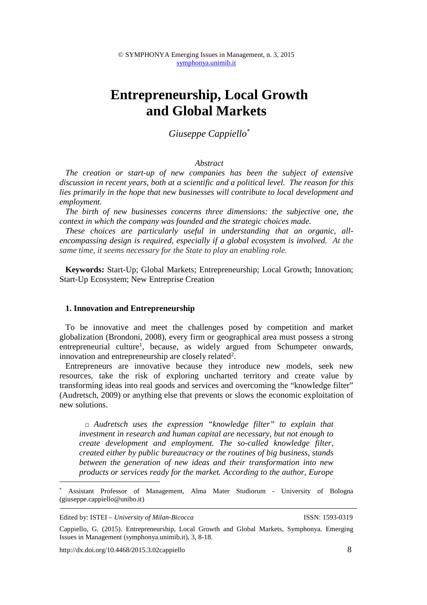# **Entrepreneurship, Local Growth and Global Markets**

# *Giuseppe Cappiello\**

## *Abstract*

*The creation or start-up of new companies has been the subject of extensive discussion in recent years, both at a scientific and a political level. The reason for this lies primarily in the hope that new businesses will contribute to local development and employment.* 

*The birth of new businesses concerns three dimensions: the subjective one, the context in which the company was founded and the strategic choices made.* 

*These choices are particularly useful in understanding that an organic, allencompassing design is required, especially if a global ecosystem is involved. At the same time, it seems necessary for the State to play an enabling role.*

**Keywords:** Start-Up; Global Markets; Entrepreneurship; Local Growth; Innovation; Start-Up Ecosystem; New Entreprise Creation

#### **1. Innovation and Entrepreneurship**

To be innovative and meet the challenges posed by competition and market globalization (Brondoni, 2008), every firm or geographical area must possess a strong entrepreneurial culture<sup>1</sup>, because, as widely argued from Schumpeter onwards, innovation and entrepreneurship are closely related<sup>2</sup>.

Entrepreneurs are innovative because they introduce new models, seek new resources, take the risk of exploring uncharted territory and create value by transforming ideas into real goods and services and overcoming the "knowledge filter" (Audretsch, 2009) or anything else that prevents or slows the economic exploitation of new solutions.

□ *Audretsch uses the expression "knowledge filter" to explain that investment in research and human capital are necessary, but not enough to create development and employment. The so-called knowledge filter, created either by public bureaucracy or the routines of big business, stands between the generation of new ideas and their transformation into new products or services ready for the market. According to the author, Europe* 

Edited by: ISTEI – *University of Milan-Bicocca* ISSN: 1593-0319

1

http://dx.doi.org/10.4468/2015.3.02cappiello 8

<sup>\*</sup> Assistant Professor of Management, Alma Mater Studiorum - University of Bologna (giuseppe.cappiello@unibo.it)

Cappiello, G. (2015). Entrepreneurship, Local Growth and Global Markets, Symphonya. Emerging Issues in Management (symphonya.unimib.it), 3, 8-18.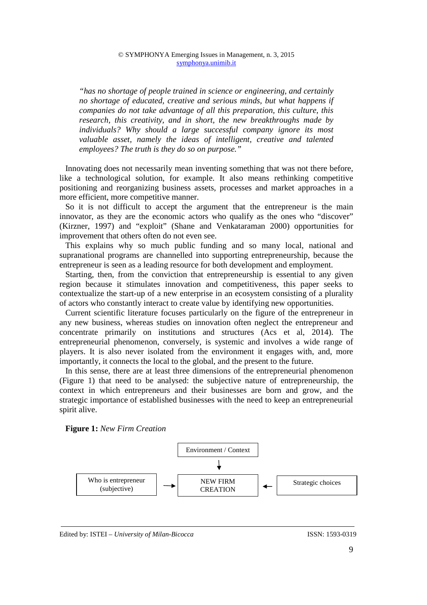*"has no shortage of people trained in science or engineering, and certainly no shortage of educated, creative and serious minds, but what happens if companies do not take advantage of all this preparation, this culture, this research, this creativity, and in short, the new breakthroughs made by individuals? Why should a large successful company ignore its most valuable asset, namely the ideas of intelligent, creative and talented employees? The truth is they do so on purpose."* 

Innovating does not necessarily mean inventing something that was not there before, like a technological solution, for example. It also means rethinking competitive positioning and reorganizing business assets, processes and market approaches in a more efficient, more competitive manner.

So it is not difficult to accept the argument that the entrepreneur is the main innovator, as they are the economic actors who qualify as the ones who "discover" (Kirzner, 1997) and "exploit" (Shane and Venkataraman 2000) opportunities for improvement that others often do not even see.

This explains why so much public funding and so many local, national and supranational programs are channelled into supporting entrepreneurship, because the entrepreneur is seen as a leading resource for both development and employment.

Starting, then, from the conviction that entrepreneurship is essential to any given region because it stimulates innovation and competitiveness, this paper seeks to contextualize the start-up of a new enterprise in an ecosystem consisting of a plurality of actors who constantly interact to create value by identifying new opportunities.

Current scientific literature focuses particularly on the figure of the entrepreneur in any new business, whereas studies on innovation often neglect the entrepreneur and concentrate primarily on institutions and structures (Acs et al, 2014). The entrepreneurial phenomenon, conversely, is systemic and involves a wide range of players. It is also never isolated from the environment it engages with, and, more importantly, it connects the local to the global, and the present to the future.

In this sense, there are at least three dimensions of the entrepreneurial phenomenon (Figure 1) that need to be analysed: the subjective nature of entrepreneurship, the context in which entrepreneurs and their businesses are born and grow, and the strategic importance of established businesses with the need to keep an entrepreneurial spirit alive.

**Figure 1:** *New Firm Creation*



#### Edited by: ISTEI – *University of Milan-Bicocca* ISSN: 1593-0319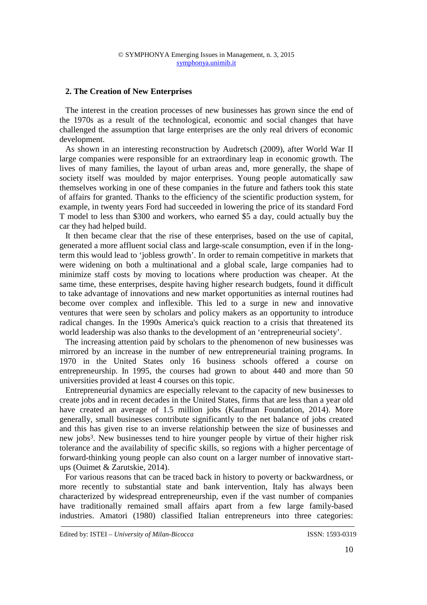## **2. The Creation of New Enterprises**

The interest in the creation processes of new businesses has grown since the end of the 1970s as a result of the technological, economic and social changes that have challenged the assumption that large enterprises are the only real drivers of economic development.

As shown in an interesting reconstruction by Audretsch (2009), after World War II large companies were responsible for an extraordinary leap in economic growth. The lives of many families, the layout of urban areas and, more generally, the shape of society itself was moulded by major enterprises. Young people automatically saw themselves working in one of these companies in the future and fathers took this state of affairs for granted. Thanks to the efficiency of the scientific production system, for example, in twenty years Ford had succeeded in lowering the price of its standard Ford T model to less than \$300 and workers, who earned \$5 a day, could actually buy the car they had helped build.

It then became clear that the rise of these enterprises, based on the use of capital, generated a more affluent social class and large-scale consumption, even if in the longterm this would lead to 'jobless growth'. In order to remain competitive in markets that were widening on both a multinational and a global scale, large companies had to minimize staff costs by moving to locations where production was cheaper. At the same time, these enterprises, despite having higher research budgets, found it difficult to take advantage of innovations and new market opportunities as internal routines had become over complex and inflexible. This led to a surge in new and innovative ventures that were seen by scholars and policy makers as an opportunity to introduce radical changes. In the 1990s America's quick reaction to a crisis that threatened its world leadership was also thanks to the development of an 'entrepreneurial society'.

The increasing attention paid by scholars to the phenomenon of new businesses was mirrored by an increase in the number of new entrepreneurial training programs. In 1970 in the United States only 16 business schools offered a course on entrepreneurship. In 1995, the courses had grown to about 440 and more than 50 universities provided at least 4 courses on this topic.

Entrepreneurial dynamics are especially relevant to the capacity of new businesses to create jobs and in recent decades in the United States, firms that are less than a year old have created an average of 1.5 million jobs (Kaufman Foundation, 2014). More generally, small businesses contribute significantly to the net balance of jobs created and this has given rise to an inverse relationship between the size of businesses and new jobs<sup>3</sup>. New businesses tend to hire younger people by virtue of their higher risk tolerance and the availability of specific skills, so regions with a higher percentage of forward-thinking young people can also count on a larger number of innovative startups (Ouimet & Zarutskie, 2014).

For various reasons that can be traced back in history to poverty or backwardness, or more recently to substantial state and bank intervention, Italy has always been characterized by widespread entrepreneurship, even if the vast number of companies have traditionally remained small affairs apart from a few large family-based industries. Amatori (1980) classified Italian entrepreneurs into three categories: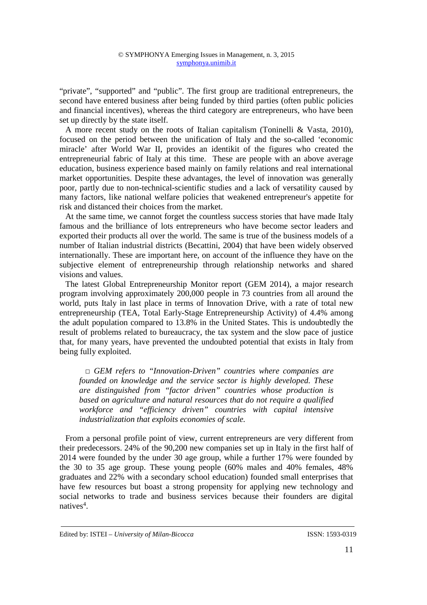"private", "supported" and "public". The first group are traditional entrepreneurs, the second have entered business after being funded by third parties (often public policies and financial incentives), whereas the third category are entrepreneurs, who have been set up directly by the state itself.

A more recent study on the roots of Italian capitalism (Toninelli & Vasta, 2010), focused on the period between the unification of Italy and the so-called 'economic miracle' after World War II, provides an identikit of the figures who created the entrepreneurial fabric of Italy at this time. These are people with an above average education, business experience based mainly on family relations and real international market opportunities. Despite these advantages, the level of innovation was generally poor, partly due to non-technical-scientific studies and a lack of versatility caused by many factors, like national welfare policies that weakened entrepreneur's appetite for risk and distanced their choices from the market.

At the same time, we cannot forget the countless success stories that have made Italy famous and the brilliance of lots entrepreneurs who have become sector leaders and exported their products all over the world. The same is true of the business models of a number of Italian industrial districts (Becattini, 2004) that have been widely observed internationally. These are important here, on account of the influence they have on the subjective element of entrepreneurship through relationship networks and shared visions and values.

The latest Global Entrepreneurship Monitor report (GEM 2014), a major research program involving approximately 200,000 people in 73 countries from all around the world, puts Italy in last place in terms of Innovation Drive, with a rate of total new entrepreneurship (TEA, Total Early-Stage Entrepreneurship Activity) of 4.4% among the adult population compared to 13.8% in the United States. This is undoubtedly the result of problems related to bureaucracy, the tax system and the slow pace of justice that, for many years, have prevented the undoubted potential that exists in Italy from being fully exploited.

*□ GEM refers to "Innovation-Driven" countries where companies are founded on knowledge and the service sector is highly developed. These are distinguished from "factor driven" countries whose production is based on agriculture and natural resources that do not require a qualified workforce and "efficiency driven" countries with capital intensive industrialization that exploits economies of scale.*

From a personal profile point of view, current entrepreneurs are very different from their predecessors. 24% of the 90,200 new companies set up in Italy in the first half of 2014 were founded by the under 30 age group, while a further 17% were founded by the 30 to 35 age group. These young people (60% males and 40% females, 48% graduates and 22% with a secondary school education) founded small enterprises that have few resources but boast a strong propensity for applying new technology and social networks to trade and business services because their founders are digital natives<sup>4</sup>.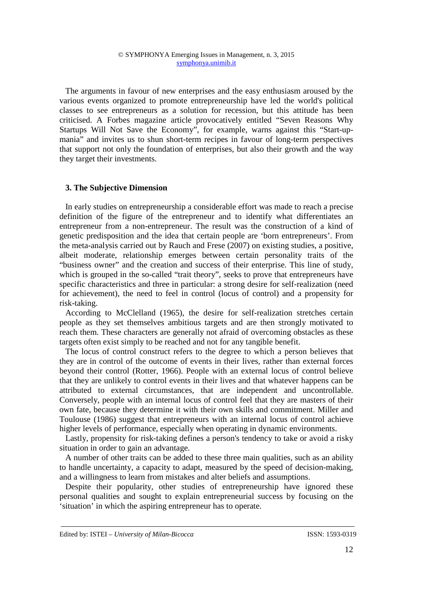The arguments in favour of new enterprises and the easy enthusiasm aroused by the various events organized to promote entrepreneurship have led the world's political classes to see entrepreneurs as a solution for recession, but this attitude has been criticised. A Forbes magazine article provocatively entitled "Seven Reasons Why Startups Will Not Save the Economy", for example, warns against this "Start-upmania" and invites us to shun short-term recipes in favour of long-term perspectives that support not only the foundation of enterprises, but also their growth and the way they target their investments.

#### **3. The Subjective Dimension**

In early studies on entrepreneurship a considerable effort was made to reach a precise definition of the figure of the entrepreneur and to identify what differentiates an entrepreneur from a non-entrepreneur. The result was the construction of a kind of genetic predisposition and the idea that certain people are 'born entrepreneurs'. From the meta-analysis carried out by Rauch and Frese (2007) on existing studies, a positive, albeit moderate, relationship emerges between certain personality traits of the "business owner" and the creation and success of their enterprise. This line of study, which is grouped in the so-called "trait theory", seeks to prove that entrepreneurs have specific characteristics and three in particular: a strong desire for self-realization (need for achievement), the need to feel in control (locus of control) and a propensity for risk-taking.

According to McClelland (1965), the desire for self-realization stretches certain people as they set themselves ambitious targets and are then strongly motivated to reach them. These characters are generally not afraid of overcoming obstacles as these targets often exist simply to be reached and not for any tangible benefit.

The locus of control construct refers to the degree to which a person believes that they are in control of the outcome of events in their lives, rather than external forces beyond their control (Rotter, 1966). People with an external locus of control believe that they are unlikely to control events in their lives and that whatever happens can be attributed to external circumstances, that are independent and uncontrollable. Conversely, people with an internal locus of control feel that they are masters of their own fate, because they determine it with their own skills and commitment. Miller and Toulouse (1986) suggest that entrepreneurs with an internal locus of control achieve higher levels of performance, especially when operating in dynamic environments.

Lastly, propensity for risk-taking defines a person's tendency to take or avoid a risky situation in order to gain an advantage.

A number of other traits can be added to these three main qualities, such as an ability to handle uncertainty, a capacity to adapt, measured by the speed of decision-making, and a willingness to learn from mistakes and alter beliefs and assumptions.

Despite their popularity, other studies of entrepreneurship have ignored these personal qualities and sought to explain entrepreneurial success by focusing on the 'situation' in which the aspiring entrepreneur has to operate.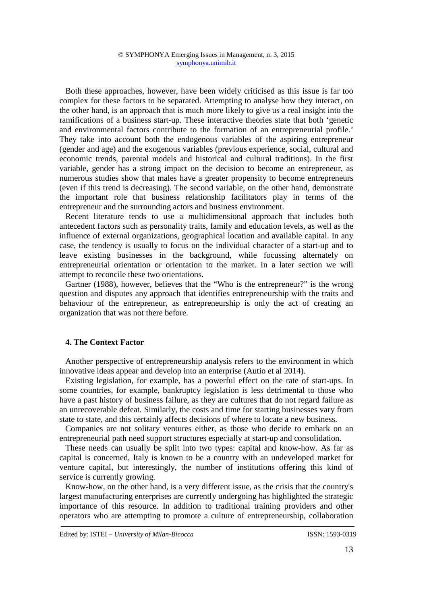Both these approaches, however, have been widely criticised as this issue is far too complex for these factors to be separated. Attempting to analyse how they interact, on the other hand, is an approach that is much more likely to give us a real insight into the ramifications of a business start-up. These interactive theories state that both 'genetic and environmental factors contribute to the formation of an entrepreneurial profile.' They take into account both the endogenous variables of the aspiring entrepreneur (gender and age) and the exogenous variables (previous experience, social, cultural and economic trends, parental models and historical and cultural traditions). In the first variable, gender has a strong impact on the decision to become an entrepreneur, as numerous studies show that males have a greater propensity to become entrepreneurs (even if this trend is decreasing). The second variable, on the other hand, demonstrate the important role that business relationship facilitators play in terms of the entrepreneur and the surrounding actors and business environment.

Recent literature tends to use a multidimensional approach that includes both antecedent factors such as personality traits, family and education levels, as well as the influence of external organizations, geographical location and available capital. In any case, the tendency is usually to focus on the individual character of a start-up and to leave existing businesses in the background, while focussing alternately on entrepreneurial orientation or orientation to the market. In a later section we will attempt to reconcile these two orientations.

Gartner (1988), however, believes that the "Who is the entrepreneur?" is the wrong question and disputes any approach that identifies entrepreneurship with the traits and behaviour of the entrepreneur, as entrepreneurship is only the act of creating an organization that was not there before.

# **4. The Context Factor**

Another perspective of entrepreneurship analysis refers to the environment in which innovative ideas appear and develop into an enterprise (Autio et al 2014).

Existing legislation, for example, has a powerful effect on the rate of start-ups. In some countries, for example, bankruptcy legislation is less detrimental to those who have a past history of business failure, as they are cultures that do not regard failure as an unrecoverable defeat. Similarly, the costs and time for starting businesses vary from state to state, and this certainly affects decisions of where to locate a new business.

Companies are not solitary ventures either, as those who decide to embark on an entrepreneurial path need support structures especially at start-up and consolidation.

These needs can usually be split into two types: capital and know-how. As far as capital is concerned, Italy is known to be a country with an undeveloped market for venture capital, but interestingly, the number of institutions offering this kind of service is currently growing.

Know-how, on the other hand, is a very different issue, as the crisis that the country's largest manufacturing enterprises are currently undergoing has highlighted the strategic importance of this resource. In addition to traditional training providers and other operators who are attempting to promote a culture of entrepreneurship, collaboration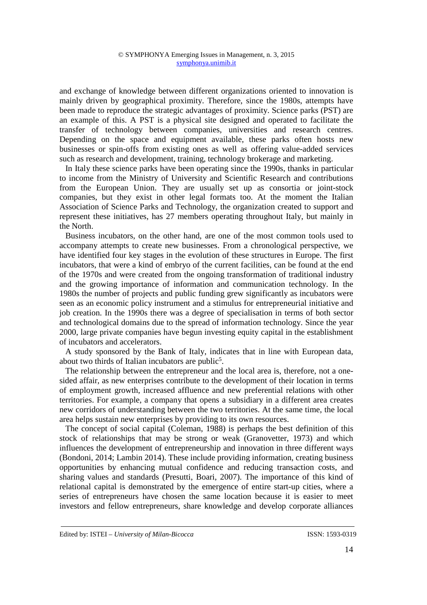and exchange of knowledge between different organizations oriented to innovation is mainly driven by geographical proximity. Therefore, since the 1980s, attempts have been made to reproduce the strategic advantages of proximity. Science parks (PST) are an example of this. A PST is a physical site designed and operated to facilitate the transfer of technology between companies, universities and research centres. Depending on the space and equipment available, these parks often hosts new businesses or spin-offs from existing ones as well as offering value-added services such as research and development, training, technology brokerage and marketing.

In Italy these science parks have been operating since the 1990s, thanks in particular to income from the Ministry of University and Scientific Research and contributions from the European Union. They are usually set up as consortia or joint-stock companies, but they exist in other legal formats too. At the moment the Italian Association of Science Parks and Technology, the organization created to support and represent these initiatives, has 27 members operating throughout Italy, but mainly in the North.

Business incubators, on the other hand, are one of the most common tools used to accompany attempts to create new businesses. From a chronological perspective, we have identified four key stages in the evolution of these structures in Europe. The first incubators, that were a kind of embryo of the current facilities, can be found at the end of the 1970s and were created from the ongoing transformation of traditional industry and the growing importance of information and communication technology. In the 1980s the number of projects and public funding grew significantly as incubators were seen as an economic policy instrument and a stimulus for entrepreneurial initiative and job creation. In the 1990s there was a degree of specialisation in terms of both sector and technological domains due to the spread of information technology. Since the year 2000, large private companies have begun investing equity capital in the establishment of incubators and accelerators.

A study sponsored by the Bank of Italy, indicates that in line with European data, about two thirds of Italian incubators are public<sup>5</sup>.

The relationship between the entrepreneur and the local area is, therefore, not a onesided affair, as new enterprises contribute to the development of their location in terms of employment growth, increased affluence and new preferential relations with other territories. For example, a company that opens a subsidiary in a different area creates new corridors of understanding between the two territories. At the same time, the local area helps sustain new enterprises by providing to its own resources.

The concept of social capital (Coleman, 1988) is perhaps the best definition of this stock of relationships that may be strong or weak (Granovetter, 1973) and which influences the development of entrepreneurship and innovation in three different ways (Bondoni, 2014; Lambin 2014). These include providing information, creating business opportunities by enhancing mutual confidence and reducing transaction costs, and sharing values and standards (Presutti, Boari, 2007). The importance of this kind of relational capital is demonstrated by the emergence of entire start-up cities, where a series of entrepreneurs have chosen the same location because it is easier to meet investors and fellow entrepreneurs, share knowledge and develop corporate alliances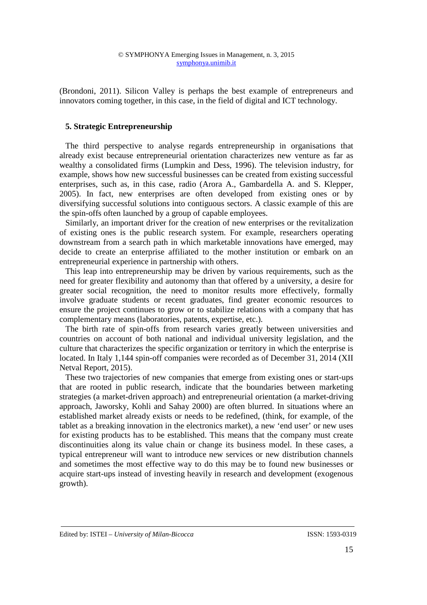(Brondoni, 2011). Silicon Valley is perhaps the best example of entrepreneurs and innovators coming together, in this case, in the field of digital and ICT technology.

# **5. Strategic Entrepreneurship**

The third perspective to analyse regards entrepreneurship in organisations that already exist because entrepreneurial orientation characterizes new venture as far as wealthy a consolidated firms (Lumpkin and Dess, 1996). The television industry, for example, shows how new successful businesses can be created from existing successful enterprises, such as, in this case, radio (Arora A., Gambardella A. and S. Klepper, 2005). In fact, new enterprises are often developed from existing ones or by diversifying successful solutions into contiguous sectors. A classic example of this are the spin-offs often launched by a group of capable employees.

Similarly, an important driver for the creation of new enterprises or the revitalization of existing ones is the public research system. For example, researchers operating downstream from a search path in which marketable innovations have emerged, may decide to create an enterprise affiliated to the mother institution or embark on an entrepreneurial experience in partnership with others.

This leap into entrepreneurship may be driven by various requirements, such as the need for greater flexibility and autonomy than that offered by a university, a desire for greater social recognition, the need to monitor results more effectively, formally involve graduate students or recent graduates, find greater economic resources to ensure the project continues to grow or to stabilize relations with a company that has complementary means (laboratories, patents, expertise, etc.).

The birth rate of spin-offs from research varies greatly between universities and countries on account of both national and individual university legislation, and the culture that characterizes the specific organization or territory in which the enterprise is located. In Italy 1,144 spin-off companies were recorded as of December 31, 2014 (XII Netval Report, 2015).

These two trajectories of new companies that emerge from existing ones or start-ups that are rooted in public research, indicate that the boundaries between marketing strategies (a market-driven approach) and entrepreneurial orientation (a market-driving approach, Jaworsky, Kohli and Sahay 2000) are often blurred. In situations where an established market already exists or needs to be redefined, (think, for example, of the tablet as a breaking innovation in the electronics market), a new 'end user' or new uses for existing products has to be established. This means that the company must create discontinuities along its value chain or change its business model. In these cases, a typical entrepreneur will want to introduce new services or new distribution channels and sometimes the most effective way to do this may be to found new businesses or acquire start-ups instead of investing heavily in research and development (exogenous growth).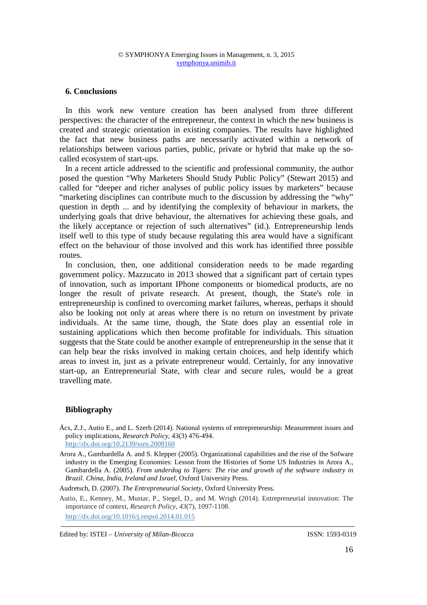### **6. Conclusions**

In this work new venture creation has been analysed from three different perspectives: the character of the entrepreneur, the context in which the new business is created and strategic orientation in existing companies. The results have highlighted the fact that new business paths are necessarily activated within a network of relationships between various parties, public, private or hybrid that make up the socalled ecosystem of start-ups.

In a recent article addressed to the scientific and professional community, the author posed the question "Why Marketers Should Study Public Policy" (Stewart 2015) and called for "deeper and richer analyses of public policy issues by marketers" because "marketing disciplines can contribute much to the discussion by addressing the "why" question in depth ... and by identifying the complexity of behaviour in markets, the underlying goals that drive behaviour, the alternatives for achieving these goals, and the likely acceptance or rejection of such alternatives" (id.). Entrepreneurship lends itself well to this type of study because regulating this area would have a significant effect on the behaviour of those involved and this work has identified three possible routes.

In conclusion, then, one additional consideration needs to be made regarding government policy. Mazzucato in 2013 showed that a significant part of certain types of innovation, such as important IPhone components or biomedical products, are no longer the result of private research. At present, though, the State's role in entrepreneurship is confined to overcoming market failures, whereas, perhaps it should also be looking not only at areas where there is no return on investment by private individuals. At the same time, though, the State does play an essential role in sustaining applications which then become profitable for individuals. This situation suggests that the State could be another example of entrepreneurship in the sense that it can help bear the risks involved in making certain choices, and help identify which areas to invest in, just as a private entrepreneur would. Certainly, for any innovative start-up, an Entrepreneurial State, with clear and secure rules, would be a great travelling mate.

## **Bibliography**

- Ács, Z.J., Autio E., and L. Szerb (2014). National systems of entrepreneurship: Measurement issues and policy implications, *Research Policy,* 43(3) 476-494. http://dx.doi.org/10.2139/ssrn.2008160
- Arora A., Gambardella A. and S. Klepper (2005). Organizational capabilities and the rise of the Sofware industry in the Emerging Economies: Lesson from the Histories of Some US Industries in Arora A., Gambardella A. (2005). *From underdog to Tigers: The rise and growth of the software industry in Brazil. China, India, Ireland and Israel*, Oxford University Press.

Audretsch, D. (2007). *The Entrepreneurial Society*, Oxford University Press.

Autio, E., Kenney, M., Mustar, P., Siegel, D., and M. Wrigh (2014). Entrepreneurial innovation: The importance of context, *Research Policy*, *43*(7), 1097-1108. http://dx.doi.org/10.1016/j.respol.2014.01.015

Edited by: ISTEI – *University of Milan-Bicocca* ISSN: 1593-0319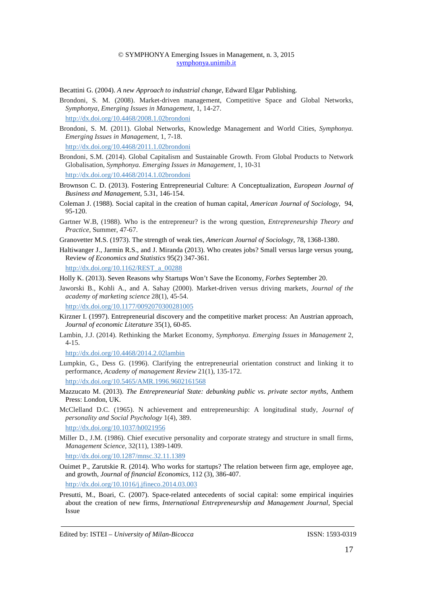Becattini G. (2004). *A new Approach to industrial change*, Edward Elgar Publishing*.* 

Brondoni, S. M. (2008). Market-driven management, Competitive Space and Global Networks, *Symphonya, Emerging Issues in Management,* 1, 14-27.

http://dx.doi.org/10.4468/2008.1.02brondoni

Brondoni, S. M. (2011). Global Networks, Knowledge Management and World Cities, *Symphonya. Emerging Issues in Management*, 1, 7-18.

http://dx.doi.org/10.4468/2011.1.02brondoni

Brondoni, S.M. (2014). Global Capitalism and Sustainable Growth. From Global Products to Network Globalisation, *Symphonya. Emerging Issues in Management*, 1, 10-31

http://dx.doi.org/10.4468/2014.1.02brondoni

- Brownson C. D. (2013). Fostering Entrepreneurial Culture: A Conceptualization, *European Journal of Business and Management*, 5.31, 146-154.
- Coleman J. (1988). Social capital in the creation of human capital, *American Journal of Sociology*, 94, 95-120.
- Gartner W.B, (1988). Who is the entrepreneur? is the wrong question, *Entrepreneurship Theory and Practice*, Summer, 47-67.
- Granovetter M.S. (1973). The strength of weak ties, *American Journal of Sociology*, 78, 1368-1380.
- Haltiwanger J., Jarmin R.S., and J. Miranda (2013). Who creates jobs? Small versus large versus young, Review *of Economics and Statistics* 95(2) 347-361. http://dx.doi.org/10.1162/REST\_a\_00288
- Holly K. (2013). Seven Reasons why Startups Won't Save the Economy, *Forbes* September 20.
- Jaworski B., Kohli A., and A. Sahay (2000). Market-driven versus driving markets, *Journal of the academy of marketing science* 28(1), 45-54.

http://dx.doi.org/10.1177/0092070300281005

- Kirzner I. (1997). Entrepreneurial discovery and the competitive market process: An Austrian approach, *Journal of economic Literature* 35(1), 60-85.
- Lambin, J.J. (2014). Rethinking the Market Economy, *Symphonya. Emerging Issues in Management* 2, 4-15.

http://dx.doi.org/10.4468/2014.2.02lambin

- Lumpkin, G., Dess G. (1996). Clarifying the entrepreneurial orientation construct and linking it to performance, *Academy of management Review* 21(1), 135-172. http://dx.doi.org/10.5465/AMR.1996.9602161568
- Mazzucato M. (2013). *The Entrepreneurial State: debunking public vs. private sector myths*, Anthem Press: London, UK.
- McClelland D.C. (1965). N achievement and entrepreneurship: A longitudinal study, *Journal of personality and Social Psychology* 1(4), 389. http://dx.doi.org/10.1037/h0021956
- Miller D., J.M. (1986). Chief executive personality and corporate strategy and structure in small firms, *Management Science,* 32(11), 1389-1409.

http://dx.doi.org/10.1287/mnsc.32.11.1389

Ouimet P., Zarutskie R. (2014). Who works for startups? The relation between firm age, employee age, and growth, *Journal of financial Economics*, 112 (3), 386-407.

http://dx.doi.org/10.1016/j.jfineco.2014.03.003

Presutti, M., Boari, C. (2007). Space-related antecedents of social capital: some empirical inquiries about the creation of new firms, *International Entrepreneurship and Management Journal*, Special Issue